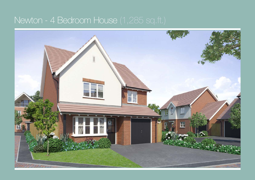## Newton - 4 Bedroom House (1,285 sq.ft.)